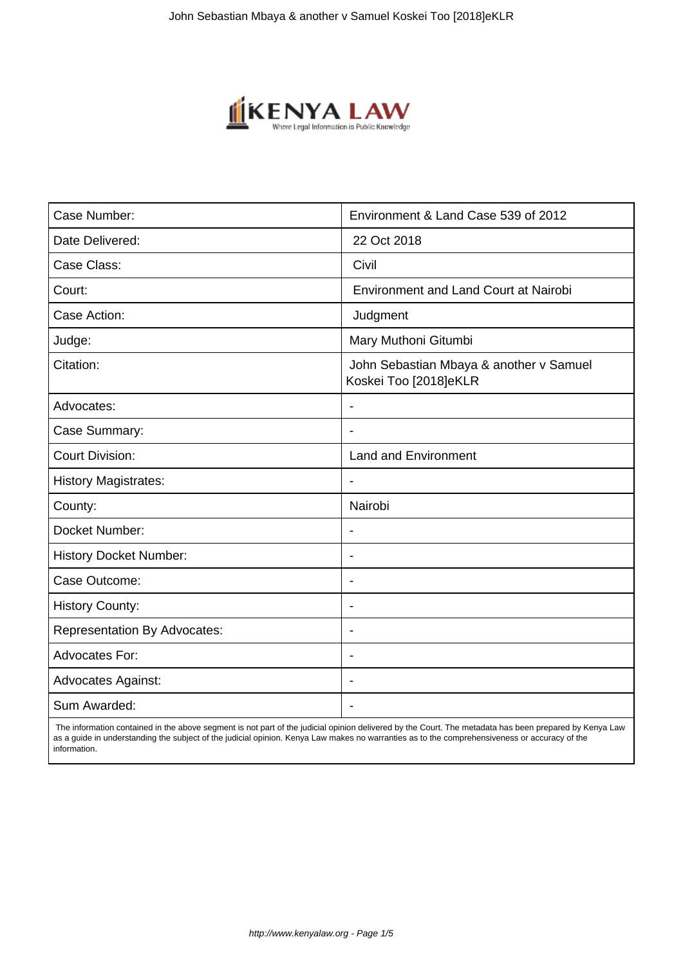

| Case Number:                        | Environment & Land Case 539 of 2012                              |
|-------------------------------------|------------------------------------------------------------------|
| Date Delivered:                     | 22 Oct 2018                                                      |
| Case Class:                         | Civil                                                            |
| Court:                              | <b>Environment and Land Court at Nairobi</b>                     |
| Case Action:                        | Judgment                                                         |
| Judge:                              | Mary Muthoni Gitumbi                                             |
| Citation:                           | John Sebastian Mbaya & another v Samuel<br>Koskei Too [2018]eKLR |
| Advocates:                          |                                                                  |
| Case Summary:                       |                                                                  |
| <b>Court Division:</b>              | <b>Land and Environment</b>                                      |
| <b>History Magistrates:</b>         | $\overline{\phantom{a}}$                                         |
| County:                             | Nairobi                                                          |
| Docket Number:                      |                                                                  |
| <b>History Docket Number:</b>       |                                                                  |
| Case Outcome:                       |                                                                  |
| <b>History County:</b>              | $\blacksquare$                                                   |
| <b>Representation By Advocates:</b> | $\blacksquare$                                                   |
| <b>Advocates For:</b>               | $\overline{\phantom{a}}$                                         |
| <b>Advocates Against:</b>           | $\blacksquare$                                                   |
| Sum Awarded:                        |                                                                  |

 The information contained in the above segment is not part of the judicial opinion delivered by the Court. The metadata has been prepared by Kenya Law as a guide in understanding the subject of the judicial opinion. Kenya Law makes no warranties as to the comprehensiveness or accuracy of the information.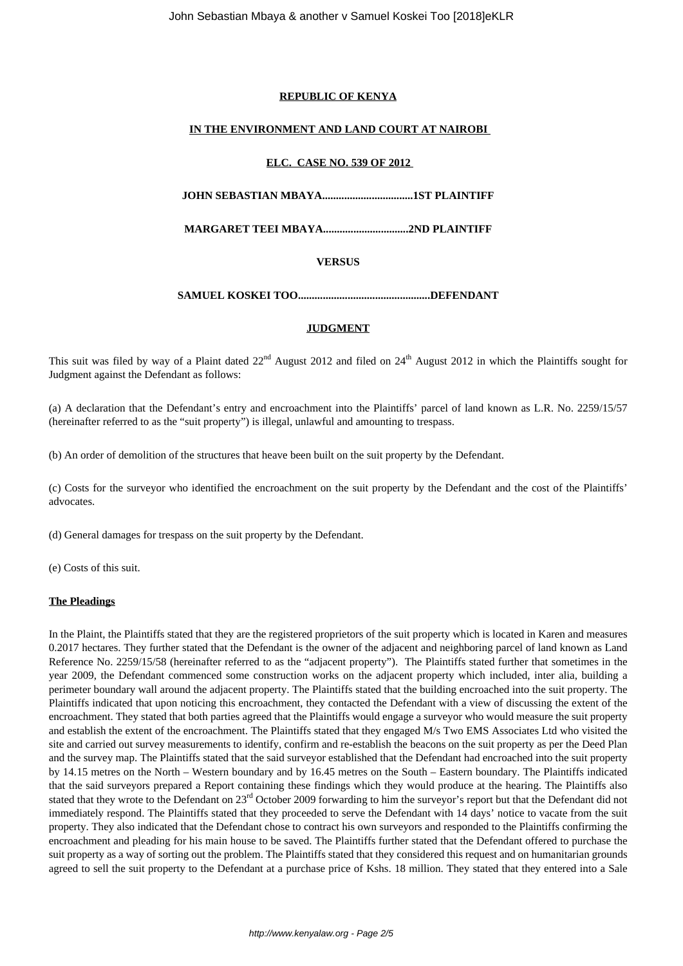## **REPUBLIC OF KENYA**

# **IN THE ENVIRONMENT AND LAND COURT AT NAIROBI**

#### **ELC. CASE NO. 539 OF 2012**

**JOHN SEBASTIAN MBAYA.................................1ST PLAINTIFF**

**MARGARET TEEI MBAYA...............................2ND PLAINTIFF**

## **VERSUS**

**SAMUEL KOSKEI TOO................................................DEFENDANT**

#### **JUDGMENT**

This suit was filed by way of a Plaint dated  $22<sup>nd</sup>$  August 2012 and filed on  $24<sup>th</sup>$  August 2012 in which the Plaintiffs sought for Judgment against the Defendant as follows:

(a) A declaration that the Defendant's entry and encroachment into the Plaintiffs' parcel of land known as L.R. No. 2259/15/57 (hereinafter referred to as the "suit property") is illegal, unlawful and amounting to trespass.

(b) An order of demolition of the structures that heave been built on the suit property by the Defendant.

(c) Costs for the surveyor who identified the encroachment on the suit property by the Defendant and the cost of the Plaintiffs' advocates.

(d) General damages for trespass on the suit property by the Defendant.

(e) Costs of this suit.

## **The Pleadings**

In the Plaint, the Plaintiffs stated that they are the registered proprietors of the suit property which is located in Karen and measures 0.2017 hectares. They further stated that the Defendant is the owner of the adjacent and neighboring parcel of land known as Land Reference No. 2259/15/58 (hereinafter referred to as the "adjacent property"). The Plaintiffs stated further that sometimes in the year 2009, the Defendant commenced some construction works on the adjacent property which included, inter alia, building a perimeter boundary wall around the adjacent property. The Plaintiffs stated that the building encroached into the suit property. The Plaintiffs indicated that upon noticing this encroachment, they contacted the Defendant with a view of discussing the extent of the encroachment. They stated that both parties agreed that the Plaintiffs would engage a surveyor who would measure the suit property and establish the extent of the encroachment. The Plaintiffs stated that they engaged M/s Two EMS Associates Ltd who visited the site and carried out survey measurements to identify, confirm and re-establish the beacons on the suit property as per the Deed Plan and the survey map. The Plaintiffs stated that the said surveyor established that the Defendant had encroached into the suit property by 14.15 metres on the North – Western boundary and by 16.45 metres on the South – Eastern boundary. The Plaintiffs indicated that the said surveyors prepared a Report containing these findings which they would produce at the hearing. The Plaintiffs also stated that they wrote to the Defendant on 23<sup>rd</sup> October 2009 forwarding to him the surveyor's report but that the Defendant did not immediately respond. The Plaintiffs stated that they proceeded to serve the Defendant with 14 days' notice to vacate from the suit property. They also indicated that the Defendant chose to contract his own surveyors and responded to the Plaintiffs confirming the encroachment and pleading for his main house to be saved. The Plaintiffs further stated that the Defendant offered to purchase the suit property as a way of sorting out the problem. The Plaintiffs stated that they considered this request and on humanitarian grounds agreed to sell the suit property to the Defendant at a purchase price of Kshs. 18 million. They stated that they entered into a Sale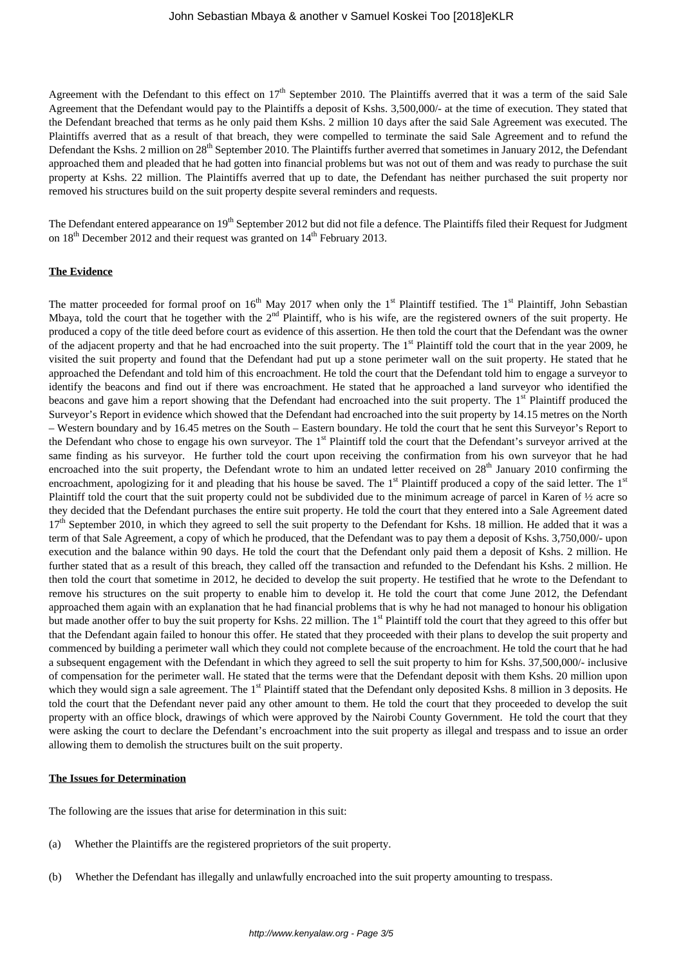Agreement with the Defendant to this effect on  $17<sup>th</sup>$  September 2010. The Plaintiffs averred that it was a term of the said Sale Agreement that the Defendant would pay to the Plaintiffs a deposit of Kshs. 3,500,000/- at the time of execution. They stated that the Defendant breached that terms as he only paid them Kshs. 2 million 10 days after the said Sale Agreement was executed. The Plaintiffs averred that as a result of that breach, they were compelled to terminate the said Sale Agreement and to refund the Defendant the Kshs. 2 million on 28<sup>th</sup> September 2010. The Plaintiffs further averred that sometimes in January 2012, the Defendant approached them and pleaded that he had gotten into financial problems but was not out of them and was ready to purchase the suit property at Kshs. 22 million. The Plaintiffs averred that up to date, the Defendant has neither purchased the suit property nor removed his structures build on the suit property despite several reminders and requests.

The Defendant entered appearance on 19<sup>th</sup> September 2012 but did not file a defence. The Plaintiffs filed their Request for Judgment on  $18^{th}$  December 2012 and their request was granted on  $14^{th}$  February 2013.

#### **The Evidence**

The matter proceeded for formal proof on  $16<sup>th</sup>$  May 2017 when only the 1<sup>st</sup> Plaintiff testified. The 1<sup>st</sup> Plaintiff, John Sebastian Mbaya, told the court that he together with the  $2<sup>nd</sup>$  Plaintiff, who is his wife, are the registered owners of the suit property. He produced a copy of the title deed before court as evidence of this assertion. He then told the court that the Defendant was the owner of the adjacent property and that he had encroached into the suit property. The 1<sup>st</sup> Plaintiff told the court that in the year 2009, he visited the suit property and found that the Defendant had put up a stone perimeter wall on the suit property. He stated that he approached the Defendant and told him of this encroachment. He told the court that the Defendant told him to engage a surveyor to identify the beacons and find out if there was encroachment. He stated that he approached a land surveyor who identified the beacons and gave him a report showing that the Defendant had encroached into the suit property. The 1<sup>st</sup> Plaintiff produced the Surveyor's Report in evidence which showed that the Defendant had encroached into the suit property by 14.15 metres on the North – Western boundary and by 16.45 metres on the South – Eastern boundary. He told the court that he sent this Surveyor's Report to the Defendant who chose to engage his own surveyor. The 1<sup>st</sup> Plaintiff told the court that the Defendant's surveyor arrived at the same finding as his surveyor. He further told the court upon receiving the confirmation from his own surveyor that he had encroached into the suit property, the Defendant wrote to him an undated letter received on  $28<sup>th</sup>$  January 2010 confirming the encroachment, apologizing for it and pleading that his house be saved. The 1<sup>st</sup> Plaintiff produced a copy of the said letter. The 1<sup>st</sup> Plaintiff told the court that the suit property could not be subdivided due to the minimum acreage of parcel in Karen of  $\frac{1}{2}$  acre so they decided that the Defendant purchases the entire suit property. He told the court that they entered into a Sale Agreement dated  $17<sup>th</sup>$  September 2010, in which they agreed to sell the suit property to the Defendant for Kshs. 18 million. He added that it was a term of that Sale Agreement, a copy of which he produced, that the Defendant was to pay them a deposit of Kshs. 3,750,000/- upon execution and the balance within 90 days. He told the court that the Defendant only paid them a deposit of Kshs. 2 million. He further stated that as a result of this breach, they called off the transaction and refunded to the Defendant his Kshs. 2 million. He then told the court that sometime in 2012, he decided to develop the suit property. He testified that he wrote to the Defendant to remove his structures on the suit property to enable him to develop it. He told the court that come June 2012, the Defendant approached them again with an explanation that he had financial problems that is why he had not managed to honour his obligation but made another offer to buy the suit property for Kshs. 22 million. The 1<sup>st</sup> Plaintiff told the court that they agreed to this offer but that the Defendant again failed to honour this offer. He stated that they proceeded with their plans to develop the suit property and commenced by building a perimeter wall which they could not complete because of the encroachment. He told the court that he had a subsequent engagement with the Defendant in which they agreed to sell the suit property to him for Kshs. 37,500,000/- inclusive of compensation for the perimeter wall. He stated that the terms were that the Defendant deposit with them Kshs. 20 million upon which they would sign a sale agreement. The  $1<sup>st</sup>$  Plaintiff stated that the Defendant only deposited Kshs. 8 million in 3 deposits. He told the court that the Defendant never paid any other amount to them. He told the court that they proceeded to develop the suit property with an office block, drawings of which were approved by the Nairobi County Government. He told the court that they were asking the court to declare the Defendant's encroachment into the suit property as illegal and trespass and to issue an order allowing them to demolish the structures built on the suit property.

#### **The Issues for Determination**

The following are the issues that arise for determination in this suit:

- (a) Whether the Plaintiffs are the registered proprietors of the suit property.
- (b) Whether the Defendant has illegally and unlawfully encroached into the suit property amounting to trespass.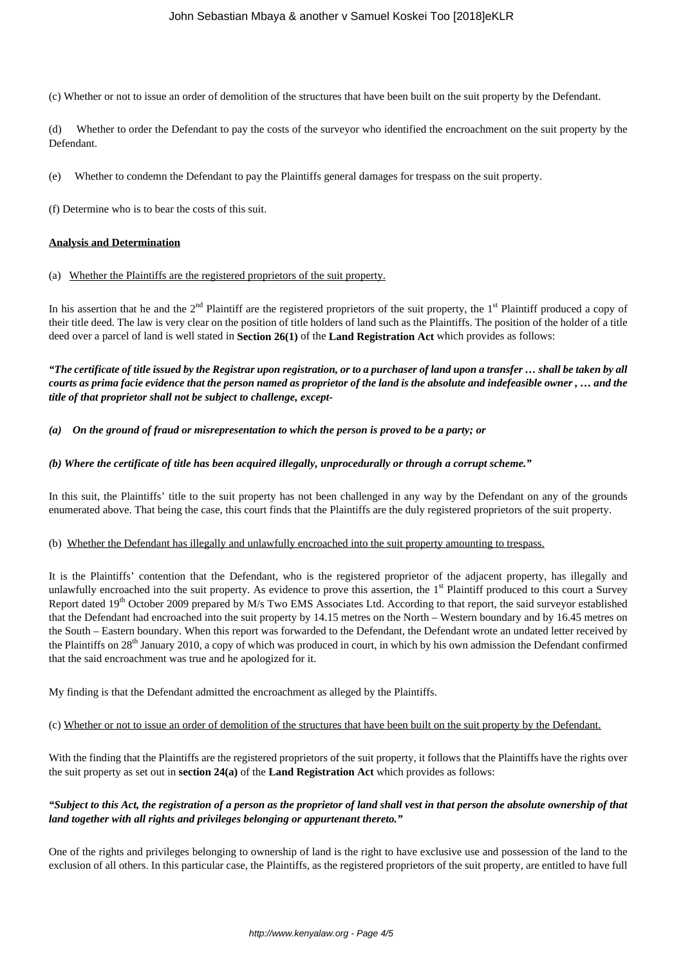(c) Whether or not to issue an order of demolition of the structures that have been built on the suit property by the Defendant.

(d) Whether to order the Defendant to pay the costs of the surveyor who identified the encroachment on the suit property by the Defendant.

(e) Whether to condemn the Defendant to pay the Plaintiffs general damages for trespass on the suit property.

(f) Determine who is to bear the costs of this suit.

#### **Analysis and Determination**

(a) Whether the Plaintiffs are the registered proprietors of the suit property.

In his assertion that he and the  $2<sup>nd</sup>$  Plaintiff are the registered proprietors of the suit property, the 1<sup>st</sup> Plaintiff produced a copy of their title deed. The law is very clear on the position of title holders of land such as the Plaintiffs. The position of the holder of a title deed over a parcel of land is well stated in **Section 26(1)** of the **Land Registration Act** which provides as follows:

*"The certificate of title issued by the Registrar upon registration, or to a purchaser of land upon a transfer … shall be taken by all courts as prima facie evidence that the person named as proprietor of the land is the absolute and indefeasible owner , … and the title of that proprietor shall not be subject to challenge, except-*

*(a) On the ground of fraud or misrepresentation to which the person is proved to be a party; or*

#### *(b) Where the certificate of title has been acquired illegally, unprocedurally or through a corrupt scheme."*

In this suit, the Plaintiffs' title to the suit property has not been challenged in any way by the Defendant on any of the grounds enumerated above. That being the case, this court finds that the Plaintiffs are the duly registered proprietors of the suit property.

#### (b) Whether the Defendant has illegally and unlawfully encroached into the suit property amounting to trespass.

It is the Plaintiffs' contention that the Defendant, who is the registered proprietor of the adjacent property, has illegally and unlawfully encroached into the suit property. As evidence to prove this assertion, the  $1<sup>st</sup>$  Plaintiff produced to this court a Survey Report dated 19<sup>th</sup> October 2009 prepared by M/s Two EMS Associates Ltd. According to that report, the said surveyor established that the Defendant had encroached into the suit property by 14.15 metres on the North – Western boundary and by 16.45 metres on the South – Eastern boundary. When this report was forwarded to the Defendant, the Defendant wrote an undated letter received by the Plaintiffs on 28<sup>th</sup> January 2010, a copy of which was produced in court, in which by his own admission the Defendant confirmed that the said encroachment was true and he apologized for it.

My finding is that the Defendant admitted the encroachment as alleged by the Plaintiffs.

# (c) Whether or not to issue an order of demolition of the structures that have been built on the suit property by the Defendant.

With the finding that the Plaintiffs are the registered proprietors of the suit property, it follows that the Plaintiffs have the rights over the suit property as set out in **section 24(a)** of the **Land Registration Act** which provides as follows:

## *"Subject to this Act, the registration of a person as the proprietor of land shall vest in that person the absolute ownership of that land together with all rights and privileges belonging or appurtenant thereto."*

One of the rights and privileges belonging to ownership of land is the right to have exclusive use and possession of the land to the exclusion of all others. In this particular case, the Plaintiffs, as the registered proprietors of the suit property, are entitled to have full